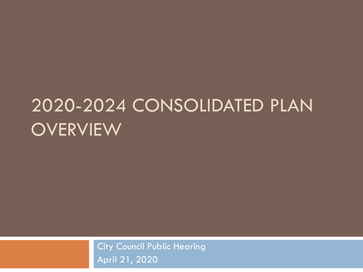### 2020-2024 CONSOLIDATED PLAN **OVERVIEW**

City Council Public Hearing April 21, 2020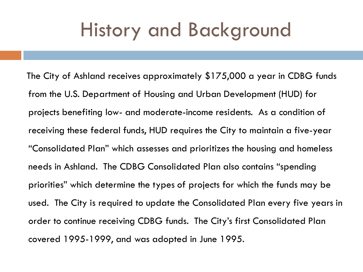#### History and Background

The City of Ashland receives approximately \$175,000 a year in CDBG funds from the U.S. Department of Housing and Urban Development (HUD) for projects benefiting low- and moderate-income residents. As a condition of receiving these federal funds, HUD requires the City to maintain a five-year "Consolidated Plan" which assesses and prioritizes the housing and homeless needs in Ashland. The CDBG Consolidated Plan also contains "spending priorities" which determine the types of projects for which the funds may be used. The City is required to update the Consolidated Plan every five years in order to continue receiving CDBG funds. The City's first Consolidated Plan covered 1995-1999, and was adopted in June 1995.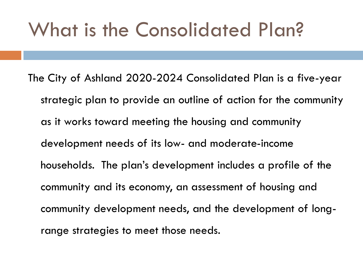## What is the Consolidated Plan?

The City of Ashland 2020-2024 Consolidated Plan is a five-year strategic plan to provide an outline of action for the community as it works toward meeting the housing and community development needs of its low- and moderate-income households. The plan's development includes a profile of the community and its economy, an assessment of housing and community development needs, and the development of longrange strategies to meet those needs.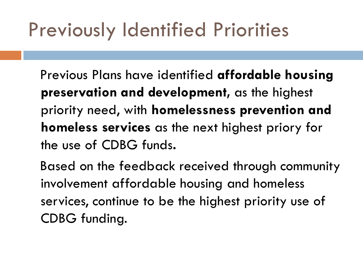## Previously Identified Priorities

Previous Plans have identified **affordable housing preservation and development,** as the highest priority need, with **homelessness prevention and homeless services** as the next highest priory for the use of CDBG funds**.** 

Based on the feedback received through community involvement affordable housing and homeless services, continue to be the highest priority use of CDBG funding.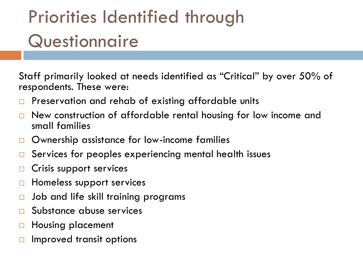## Priorities Identified through **Questionnaire**

Staff primarily looked at needs identified as "Critical" by over 50% of respondents. These were:

- Preservation and rehab of existing affordable units
- New construction of affordable rental housing for low income and small families
- □ Ownership assistance for low-income families
- **□** Services for peoples experiencing mental health issues
- $\Box$  Crisis support services
- $\Box$  Homeless support services
- $\Box$  Job and life skill training programs
- Substance abuse services
- □ Housing placement
- Improved transit options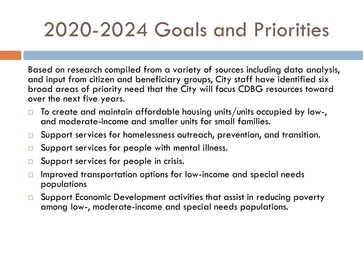# 2020-2024 Goals and Priorities

Based on research compiled from a variety of sources including data analysis, and input from citizen and beneficiary groups, City staff have identified six broad areas of priority need that the City will focus CDBG resources toward over the next five years.

- $\Box$  To create and maintain affordable housing units/units occupied by low-, and moderate-income and smaller units for small families.
- □ Support services for homelessness outreach, prevention, and transition.
- $\square$  Support services for people with mental illness.
- $\square$  Support services for people in crisis.
- $\Box$  Improved transportation options for low-income and special needs populations
- □ Support Economic Development activities that assist in reducing poverty among low-, moderate-income and special needs populations.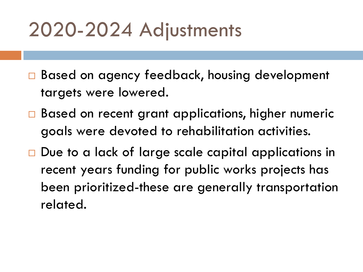## 2020-2024 Adjustments

- □ Based on agency feedback, housing development targets were lowered.
- □ Based on recent grant applications, higher numeric goals were devoted to rehabilitation activities.
- □ Due to a lack of large scale capital applications in recent years funding for public works projects has been prioritized-these are generally transportation related.